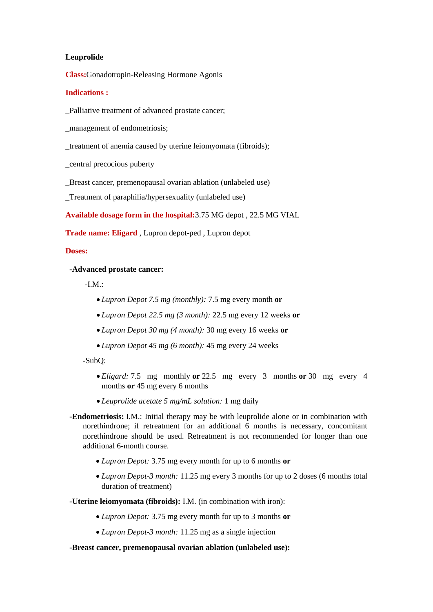# **Leuprolide**

**Class:**Gonadotropin-Releasing Hormone Agonis

# **Indications :**

\_Palliative treatment of advanced prostate cancer;

management of endometriosis;

\_treatment of anemia caused by uterine leiomyomata (fibroids);

\_central precocious puberty

\_Breast cancer, premenopausal ovarian ablation (unlabeled use)

\_Treatment of paraphilia/hypersexuality (unlabeled use)

**Available dosage form in the hospital:**3.75 MG depot , 22.5 MG VIAL

**Trade name: Eligard** , Lupron depot-ped , Lupron depot

### **Doses:**

 **-Advanced prostate cancer:**

-I.M. $\cdot$ 

- *Lupron Depot 7.5 mg (monthly):* 7.5 mg every month **or**
- *Lupron Depot 22.5 mg (3 month):* 22.5 mg every 12 weeks **or**
- *Lupron Depot 30 mg (4 month):* 30 mg every 16 weeks **or**
- *Lupron Depot 45 mg (6 month):* 45 mg every 24 weeks

-SubQ:

- *Eligard:* 7.5 mg monthly **or** 22.5 mg every 3 months **or** 30 mg every 4 months **or** 45 mg every 6 months
- *Leuprolide acetate 5 mg/mL solution:* 1 mg daily
- **-Endometriosis:** I.M.: Initial therapy may be with leuprolide alone or in combination with norethindrone; if retreatment for an additional 6 months is necessary, concomitant norethindrone should be used. Retreatment is not recommended for longer than one additional 6-month course.
	- *Lupron Depot:* 3.75 mg every month for up to 6 months **or**
	- *Lupron Depot-3 month:* 11.25 mg every 3 months for up to 2 doses (6 months total duration of treatment)

 **-Uterine leiomyomata (fibroids):** I.M. (in combination with iron):

- *Lupron Depot:* 3.75 mg every month for up to 3 months **or**
- *Lupron Depot-3 month:* 11.25 mg as a single injection

# **-Breast cancer, premenopausal ovarian ablation (unlabeled use):**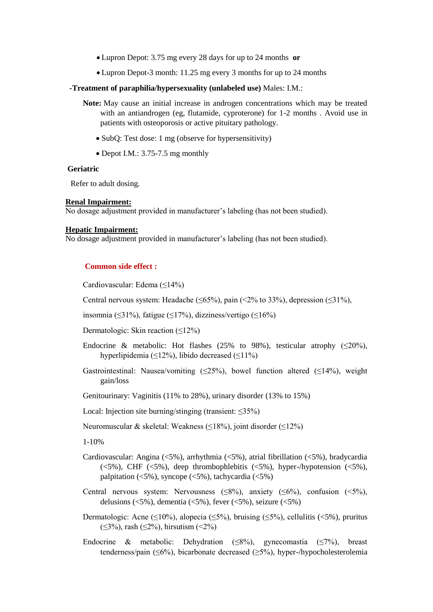- Lupron Depot: 3.75 mg every 28 days for up to 24 months **or**
- Lupron Depot-3 month: 11.25 mg every 3 months for up to 24 months
- **-Treatment of paraphilia/hypersexuality (unlabeled use)** Males: I.M.:
	- **Note:** May cause an initial increase in androgen concentrations which may be treated with an antiandrogen (eg, flutamide, cyproterone) for 1-2 months . Avoid use in patients with osteoporosis or active pituitary pathology.
		- SubQ: Test dose: 1 mg (observe for hypersensitivity)
		- Depot I.M.: 3.75-7.5 mg monthly

### **Geriatric**

Refer to adult dosing.

#### **Renal Impairment:**

No dosage adjustment provided in manufacturer's labeling (has not been studied).

### **Hepatic Impairment:**

No dosage adjustment provided in manufacturer's labeling (has not been studied).

# **Common side effect :**

Cardiovascular: Edema (≤14%)

Central nervous system: Headache ( $\leq 65\%$ ), pain ( $\leq 2\%$  to 33%), depression ( $\leq 31\%$ ),

- insomnia (≤31%), fatigue (≤17%), dizziness/vertigo (≤16%)
- Dermatologic: Skin reaction (≤12%)
- Endocrine & metabolic: Hot flashes (25% to 98%), testicular atrophy ( $\leq$ 20%), hyperlipidemia ( $\leq$ 12%), libido decreased ( $\leq$ 11%)
- Gastrointestinal: Nausea/vomiting (≤25%), bowel function altered (≤14%), weight gain/loss
- Genitourinary: Vaginitis (11% to 28%), urinary disorder (13% to 15%)
- Local: Injection site burning/stinging (transient: ≤35%)

Neuromuscular & skeletal: Weakness (≤18%), joint disorder (≤12%)

1-10%

- Cardiovascular: Angina (<5%), arrhythmia (<5%), atrial fibrillation (<5%), bradycardia ( $5\%$ ), CHF ( $5\%$ ), deep thrombophlebitis ( $5\%$ ), hyper-/hypotension ( $5\%$ ), palpitation  $\left\langle 5\% \right\rangle$ , syncope  $\left\langle 5\% \right\rangle$ , tachycardia  $\left\langle 5\% \right\rangle$
- Central nervous system: Nervousness ( $\leq 8\%$ ), anxiety ( $\leq 6\%$ ), confusion ( $\leq 5\%$ ), delusions ( $\langle 5\%$ ), dementia ( $\langle 5\%$ ), fever ( $\langle 5\%$ ), seizure ( $\langle 5\%$ )
- Dermatologic: Acne (≤10%), alopecia (≤5%), bruising (≤5%), cellulitis (<5%), pruritus  $(\leq 3\%)$ , rash  $(\leq 2\%)$ , hirsutism  $(\leq 2\%)$
- Endocrine & metabolic: Dehydration ( $\leq 8\%$ ), gynecomastia ( $\leq 7\%$ ), breast tenderness/pain (≤6%), bicarbonate decreased (≥5%), hyper-/hypocholesterolemia